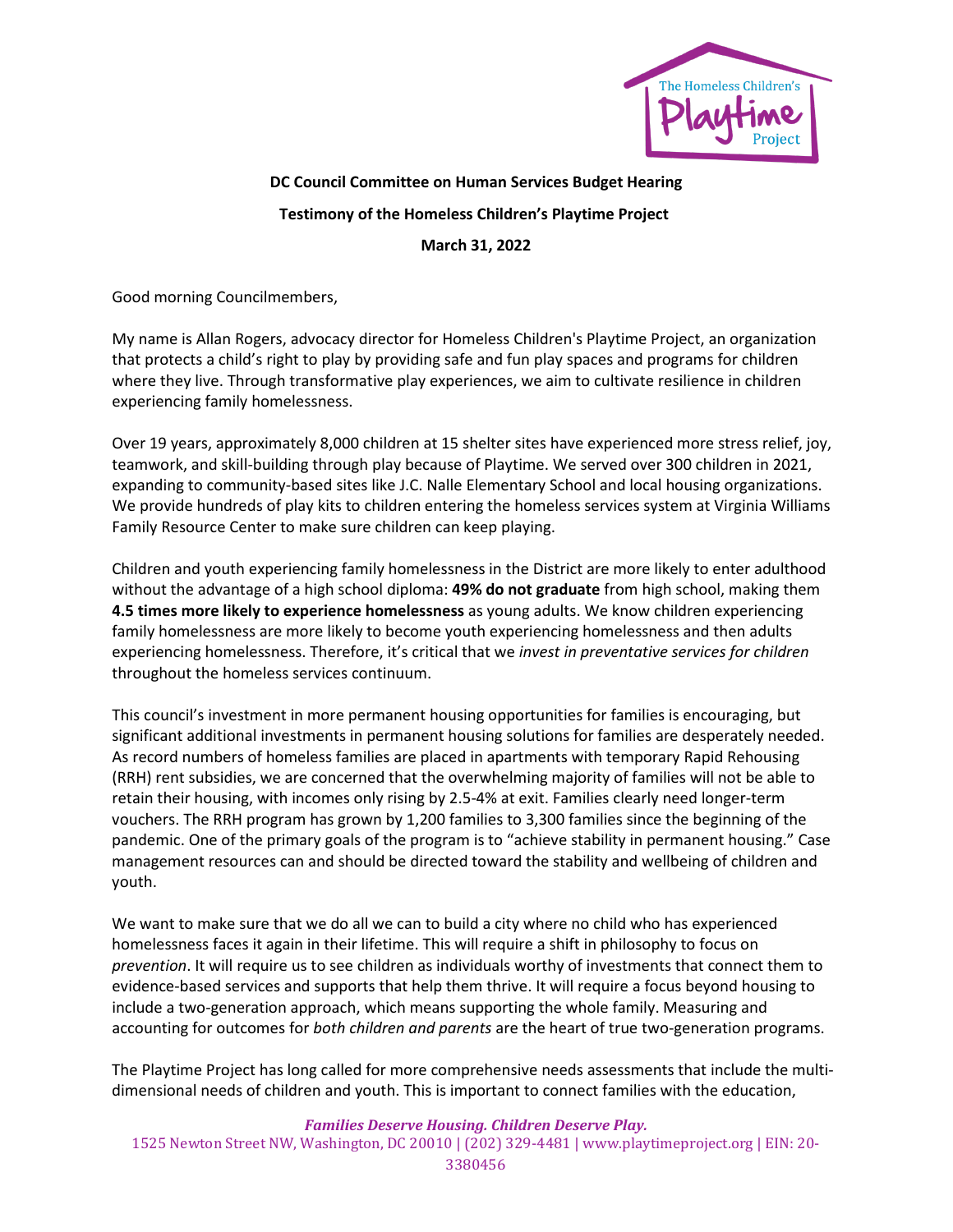

## **DC Council Committee on Human Services Budget Hearing Testimony of the Homeless Children's Playtime Project March 31, 2022**

Good morning Councilmembers,

My name is Allan Rogers, advocacy director for Homeless Children's Playtime Project, an organization that protects a child's right to play by providing safe and fun play spaces and programs for children where they live. Through transformative play experiences, we aim to cultivate resilience in children experiencing family homelessness.

Over 19 years, approximately 8,000 children at 15 shelter sites have experienced more stress relief, joy, teamwork, and skill-building through play because of Playtime. We served over 300 children in 2021, expanding to community-based sites like J.C. Nalle Elementary School and local housing organizations. We provide hundreds of play kits to children entering the homeless services system at Virginia Williams Family Resource Center to make sure children can keep playing.

Children and youth experiencing family homelessness in the District are more likely to enter adulthood without the advantage of a high school diploma: **49% do not graduate** from high school, making them **4.5 times more likely to experience homelessness** as young adults. We know children experiencing family homelessness are more likely to become youth experiencing homelessness and then adults experiencing homelessness. Therefore, it's critical that we *invest in preventative services for children* throughout the homeless services continuum.

This council's investment in more permanent housing opportunities for families is encouraging, but significant additional investments in permanent housing solutions for families are desperately needed. As record numbers of homeless families are placed in apartments with temporary Rapid Rehousing (RRH) rent subsidies, we are concerned that the overwhelming majority of families will not be able to retain their housing, with incomes only rising by 2.5-4% at exit. Families clearly need longer-term vouchers. The RRH program has grown by 1,200 families to 3,300 families since the beginning of the pandemic. One of the primary goals of the program is to "achieve stability in permanent housing." Case management resources can and should be directed toward the stability and wellbeing of children and youth.

We want to make sure that we do all we can to build a city where no child who has experienced homelessness faces it again in their lifetime. This will require a shift in philosophy to focus on *prevention*. It will require us to see children as individuals worthy of investments that connect them to evidence-based services and supports that help them thrive. It will require a focus beyond housing to include a two-generation approach, which means supporting the whole family. Measuring and accounting for outcomes for *both children and parents* are the heart of true two-generation programs.

The Playtime Project has long called for more comprehensive needs assessments that include the multidimensional needs of children and youth. This is important to connect families with the education,

## *Families Deserve Housing. Children Deserve Play.* 1525 Newton Street NW, Washington, DC 20010 | (202) 329-4481 | www.playtimeproject.org | EIN: 20- 3380456